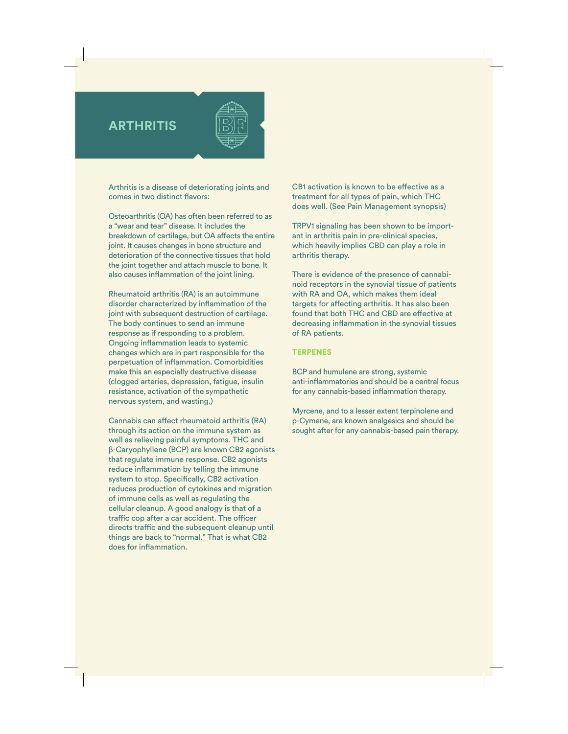## **ARTHRITIS**

Arthritis is a disease of deteriorating joints and comes in two distinct flavors:

Osteoarthritis (OA) has often been referred to as a "wear and tear" disease. It includes the breakdown of cartilage, but OA affects the entire joint. It causes changes in bone structure and deterioration of the connective tissues that hold the joint together and attach muscle to bone. It also causes inflammation of the joint lining.

Rheumatoid arthritis (RA) is an autoimmune disorder characterized by inflammation of the joint with subsequent destruction of cartilage. The body continues to send an immune response as if responding to a problem. Ongoing inflammation leads to systemic changes which are in part responsible for the perpetuation of inflammation. Comorbidities make this an especially destructive disease (clogged arteries, depression, fatigue, insulin resistance, activation of the sympathetic nervous system, and wasting.)

Cannabis can affect rheumatoid arthritis (RA) through its action on the immune system as well as relieving painful symptoms. THC and β-Caryophyllene (BCP) are known CB2 agonists that regulate immune response. CB2 agonists reduce inflammation by telling the immune system to stop. Specifically, CB2 activation reduces production of cytokines and migration of immune cells as well as regulating the cellular cleanup. A good analogy is that of a traffic cop after a car accident. The officer directs traffic and the subsequent cleanup until things are back to "normal." That is what CB2 does for inflammation.

CB1 activation is known to be effective as a treatment for all types of pain, which THC does well. (See Pain Management synopsis)

TRPV1 signaling has been shown to be important in arthritis pain in pre-clinical species, which heavily implies CBD can play a role in arthritis therapy.

There is evidence of the presence of cannabinoid receptors in the synovial tissue of patients with RA and OA, which makes them ideal targets for affecting arthritis. It has also been found that both THC and CBD are effective at decreasing inflammation in the synovial tissues of RA patients.

## **TERPENES**

BCP and humulene are strong, systemic anti-inflammatories and should be a central focus for any cannabis-based inflammation therapy.

Myrcene, and to a lesser extent terpinolene and p-Cymene, are known analgesics and should be sought after for any cannabis-based pain therapy.